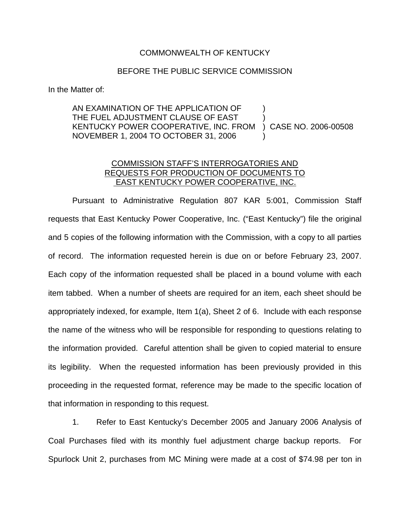## COMMONWEALTH OF KENTUCKY

## BEFORE THE PUBLIC SERVICE COMMISSION

In the Matter of:

## AN EXAMINATION OF THE APPLICATION OF THE FUEL ADJUSTMENT CLAUSE OF EAST KENTUCKY POWER COOPERATIVE, INC. FROM NOVEMBER 1, 2004 TO OCTOBER 31, 2006 ) ) ) CASE NO. 2006-00508 )

## COMMISSION STAFF'S INTERROGATORIES AND REQUESTS FOR PRODUCTION OF DOCUMENTS TO EAST KENTUCKY POWER COOPERATIVE, INC.

Pursuant to Administrative Regulation 807 KAR 5:001, Commission Staff requests that East Kentucky Power Cooperative, Inc. ("East Kentucky") file the original and 5 copies of the following information with the Commission, with a copy to all parties of record. The information requested herein is due on or before February 23, 2007. Each copy of the information requested shall be placed in a bound volume with each item tabbed. When a number of sheets are required for an item, each sheet should be appropriately indexed, for example, Item 1(a), Sheet 2 of 6. Include with each response the name of the witness who will be responsible for responding to questions relating to the information provided. Careful attention shall be given to copied material to ensure its legibility. When the requested information has been previously provided in this proceeding in the requested format, reference may be made to the specific location of that information in responding to this request.

1. Refer to East Kentucky's December 2005 and January 2006 Analysis of Coal Purchases filed with its monthly fuel adjustment charge backup reports. For Spurlock Unit 2, purchases from MC Mining were made at a cost of \$74.98 per ton in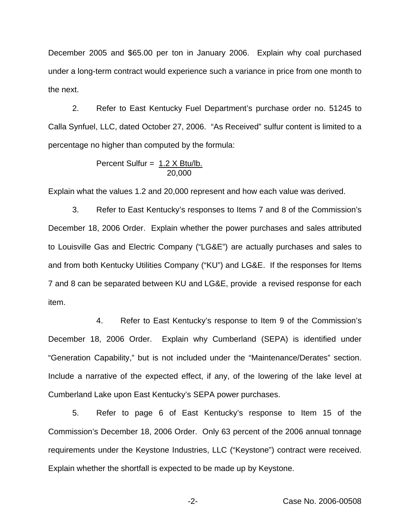December 2005 and \$65.00 per ton in January 2006. Explain why coal purchased under a long-term contract would experience such a variance in price from one month to the next.

2. Refer to East Kentucky Fuel Department's purchase order no. 51245 to Calla Synfuel, LLC, dated October 27, 2006. "As Received" sulfur content is limited to a percentage no higher than computed by the formula:

$$
Percent Sulfur = \frac{1.2 \times Btu/lb}{20,000}
$$

Explain what the values 1.2 and 20,000 represent and how each value was derived.

3. Refer to East Kentucky's responses to Items 7 and 8 of the Commission's December 18, 2006 Order. Explain whether the power purchases and sales attributed to Louisville Gas and Electric Company ("LG&E") are actually purchases and sales to and from both Kentucky Utilities Company ("KU") and LG&E. If the responses for Items 7 and 8 can be separated between KU and LG&E, provide a revised response for each item.

4. Refer to East Kentucky's response to Item 9 of the Commission's December 18, 2006 Order. Explain why Cumberland (SEPA) is identified under "Generation Capability," but is not included under the "Maintenance/Derates" section. Include a narrative of the expected effect, if any, of the lowering of the lake level at Cumberland Lake upon East Kentucky's SEPA power purchases.

5. Refer to page 6 of East Kentucky's response to Item 15 of the Commission's December 18, 2006 Order. Only 63 percent of the 2006 annual tonnage requirements under the Keystone Industries, LLC ("Keystone") contract were received. Explain whether the shortfall is expected to be made up by Keystone.